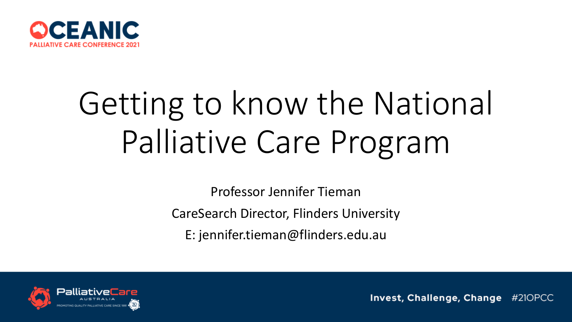

# Getting to know the National Palliative Care Program

Professor Jennifer Tieman CareSearch Director, Flinders University E: jennifer.tieman@flinders.edu.au

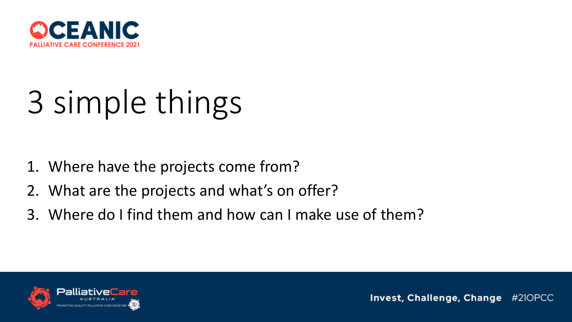

# 3 simple things

- 1. Where have the projects come from?
- 2. What are the projects and what's on offer?
- 3. Where do I find them and how can I make use of them?

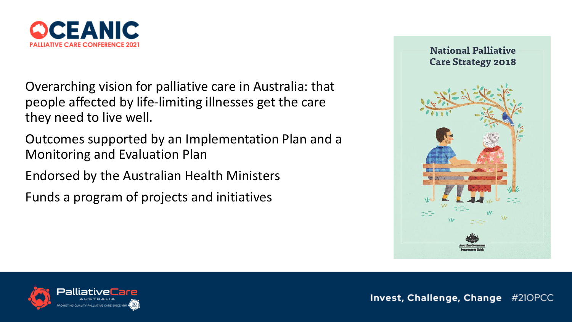

Overarching vision for palliative care in Australia: that people affected by life-limiting illnesses get the care they need to live well.

Outcomes supported by an Implementation Plan and a Monitoring and Evaluation Plan

Endorsed by the Australian Health Ministers

Funds a program of projects and initiatives



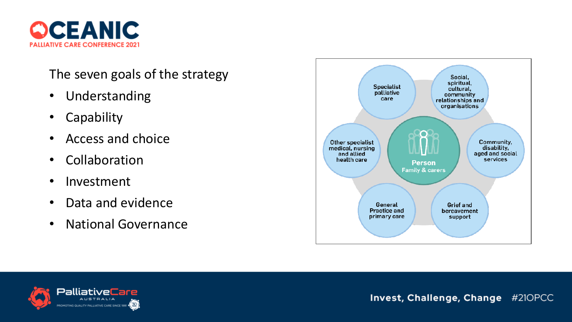

#### The seven goals of the strategy

- Understanding
- Capability
- Access and choice
- Collaboration
- Investment
- Data and evidence
- National Governance



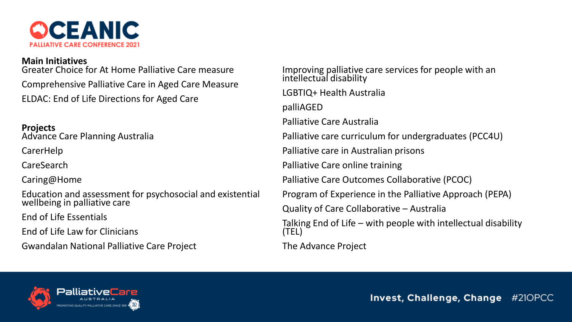

#### **Main Initiatives**

Greater Choice for At Home Palliative Care measure Comprehensive Palliative Care in Aged Care Measure ELDAC: End of Life Directions for Aged Care

#### **Projects**

Advance Care Planning Australia

CarerHelp

CareSearch

Caring@Home

Education and assessment for psychosocial and existential wellbeing in palliative care

End of Life Essentials

End of Life Law for Clinicians

Gwandalan National Palliative Care Project

Improving palliative care services for people with an intellectual disability LGBTIQ+ Health Australia palliAGED Palliative Care Australia Palliative care curriculum for undergraduates (PCC4U) Palliative care in Australian prisons Palliative Care online training Palliative Care Outcomes Collaborative (PCOC) Program of Experience in the Palliative Approach (PEPA) Quality of Care Collaborative – Australia Talking End of Life – with people with intellectual disability (TEL) The Advance Project

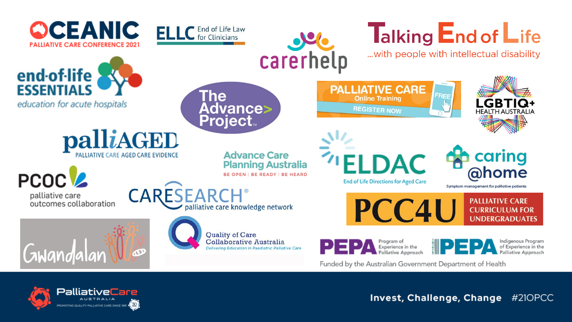

PalliativeCare **AUSTRALIA** OMOTING QUALITY PALLIATIVE CARE SINCE 1991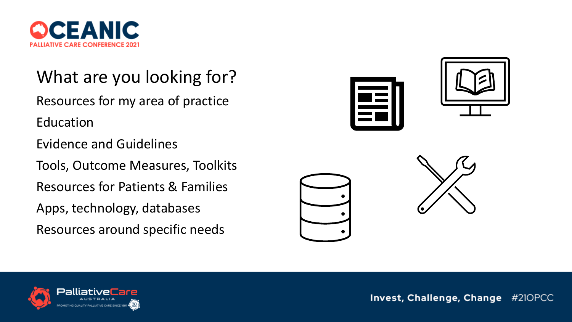

What are you looking for? Resources for my area of practice Education Evidence and Guidelines Tools, Outcome Measures, Toolkits Resources for Patients & Families Apps, technology, databases Resources around specific needs







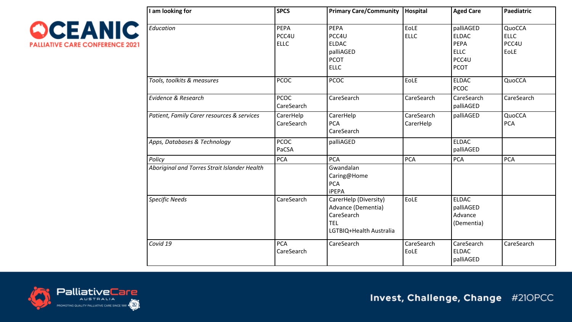

| I am looking for                                       | <b>SPCS</b>                  | Primary Care/Community   Hospital                                                                  |                         | <b>Aged Care</b>                                                         | Paediatric                             |
|--------------------------------------------------------|------------------------------|----------------------------------------------------------------------------------------------------|-------------------------|--------------------------------------------------------------------------|----------------------------------------|
| Education                                              | PEPA<br>PCC4U<br><b>ELLC</b> | PEPA<br>PCC4U<br><b>ELDAC</b><br>palliAGED<br><b>PCOT</b><br><b>ELLC</b>                           | EoLE<br><b>ELLC</b>     | palliAGED<br><b>ELDAC</b><br>PEPA<br><b>ELLC</b><br>PCC4U<br><b>PCOT</b> | QuoCCA<br><b>ELLC</b><br>PCC4U<br>EoLE |
| Tools, toolkits & measures                             | <b>PCOC</b>                  | <b>PCOC</b>                                                                                        | EoLE                    | <b>ELDAC</b><br><b>PCOC</b>                                              | QuoCCA                                 |
| <b>Evidence &amp; Research</b>                         | <b>PCOC</b><br>CareSearch    | CareSearch                                                                                         | CareSearch              | CareSearch<br>palliAGED                                                  | CareSearch                             |
| Patient, Family Carer resources & services             | CarerHelp<br>CareSearch      | CarerHelp<br><b>PCA</b><br>CareSearch                                                              | CareSearch<br>CarerHelp | palliAGED                                                                | QuoCCA<br><b>PCA</b>                   |
| Apps, Databases & Technology                           | <b>PCOC</b><br>PaCSA         | palliAGED                                                                                          |                         | <b>ELDAC</b><br>palliAGED                                                |                                        |
| Policy<br>Aboriginal and Torres Strait Islander Health | <b>PCA</b>                   | <b>PCA</b><br>Gwandalan<br>Caring@Home<br><b>PCA</b><br><b>iPEPA</b>                               | <b>PCA</b>              | <b>PCA</b>                                                               | <b>PCA</b>                             |
| <b>Specific Needs</b>                                  | CareSearch                   | CarerHelp (Diversity)<br>Advance (Dementia)<br>CareSearch<br><b>TEL</b><br>LGTBIQ+Health Australia | EoLE                    | <b>ELDAC</b><br>palliAGED<br>Advance<br>(Dementia)                       |                                        |
| Covid 19                                               | <b>PCA</b><br>CareSearch     | CareSearch                                                                                         | CareSearch<br>EoLE      | CareSearch<br><b>ELDAC</b><br>palliAGED                                  | CareSearch                             |

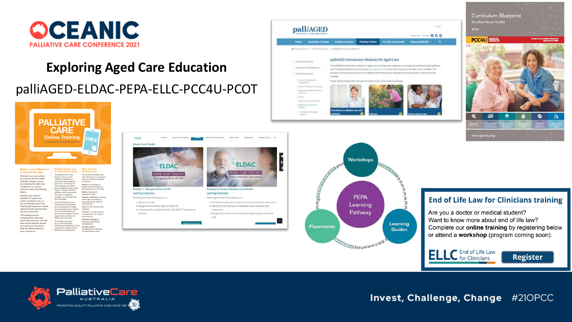

#### **Exploring Aged Care Education**

#### palliAGED-ELDAC-PEPA-ELLC-PCC4U-PCOT



| Make a real difference<br>in end-of-life care                                                                                                                                                       | Evidence based, easy<br>to understand training                                                                                                                                                                                                                                                                                                                                                                                                                                                                                                                    | What does the<br>training cover?                                                                                                                                                                                                       |  |
|-----------------------------------------------------------------------------------------------------------------------------------------------------------------------------------------------------|-------------------------------------------------------------------------------------------------------------------------------------------------------------------------------------------------------------------------------------------------------------------------------------------------------------------------------------------------------------------------------------------------------------------------------------------------------------------------------------------------------------------------------------------------------------------|----------------------------------------------------------------------------------------------------------------------------------------------------------------------------------------------------------------------------------------|--|
| Wherever you are located.<br>vou can do our free online<br>palliative training course<br>and develop the skills and<br>confidence to care for<br>someone with a life-limiting<br>illness.           | The palliative care online<br>training is based on the<br>COMPAC Guidelines for<br>community based palliative<br>aged care. The training has<br>been developed by experts<br>and is provided in simple, plain<br>English, Through interactive<br>activities, video case studies<br>and easy to understand<br>examples, you will build skills<br>and knowledge.<br>Over 35,000 people across<br>Australia and internationally<br>have undertaken the training<br>and reported that it has helped<br>them to provide better care<br>and feel more confident as they | The six online modules have<br>been developed in accordance<br>with best-practice quidelines<br>to help you:<br>Reflect on the needs of<br>people and their families as<br>they approach the end of life<br><b>Build screening and</b> |  |
| Whether you work or<br>volunteer in aged care.<br>acute or primary care, or<br>the community sector, the<br>training will help you to better<br>support people approaching<br>the end of their life |                                                                                                                                                                                                                                                                                                                                                                                                                                                                                                                                                                   | assessment skills<br>Develop confidence in having<br>end-of-life conversations.<br>especially around advance<br>care planning<br>Invost in self-care and build<br>rosilianco<br>Connect to a wider network                             |  |
| The training can be<br>completed at a time and<br>place that suits you, and will<br>help ensure that the people<br>you care for at the end of<br>their life will benefit from<br>vour experience.   | support clients, friends and<br>family at the end of life.<br>This training may assist<br>you to meet Continuing<br>Professional Development (CPD)<br>requirements, Please contact<br>AHHA for more information                                                                                                                                                                                                                                                                                                                                                   | of experts who can support<br>and assist you<br>Extend knowledge of<br>assessing, treating and<br>managing pain<br>Dovolop skills in<br>recognising and managing<br>the deteriorating client.                                          |  |





**SIULIULIULIUM** 



Want to know more about end of life law? Complete our online training by registering below or attend a workshop (program coming soon).



**Register** 

6

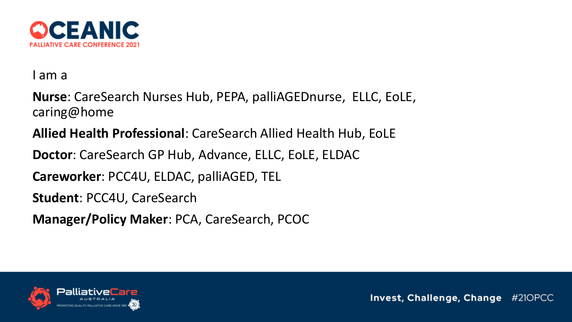

I am a

**Nurse**: CareSearch Nurses Hub, PEPA, palliAGEDnurse, ELLC, EoLE, caring@home

**Allied Health Professional**: CareSearch Allied Health Hub, EoLE

**Doctor**: CareSearch GP Hub, Advance, ELLC, EoLE, ELDAC

**Careworker**: PCC4U, ELDAC, palliAGED, TEL

**Student**: PCC4U, CareSearch

**Manager/Policy Maker**: PCA, CareSearch, PCOC

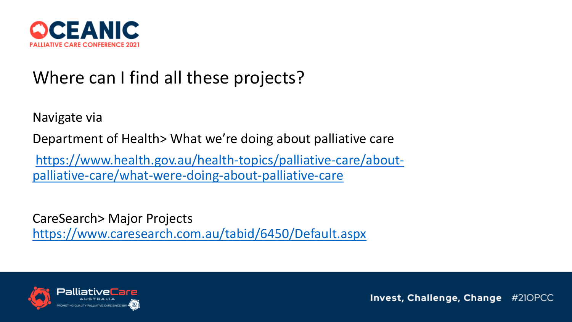

## Where can I find all these projects?

Navigate via

Department of Health> What we're doing about palliative care

[https://www.health.gov.au/health-topics/palliative-care/about](https://www.health.gov.au/health-topics/palliative-care/about-palliative-care/what-were-doing-about-palliative-care)palliative-care/what-were-doing-about-palliative-care

CareSearch> Major Projects <https://www.caresearch.com.au/tabid/6450/Default.aspx>

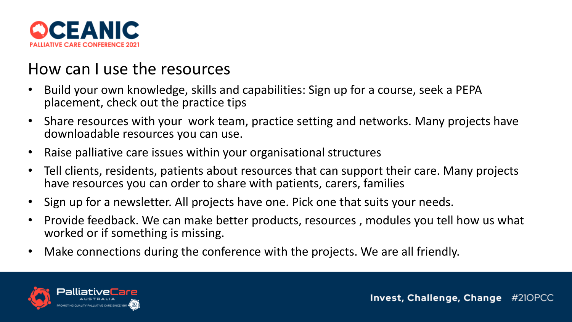

### How can I use the resources

- Build your own knowledge, skills and capabilities: Sign up for a course, seek a PEPA placement, check out the practice tips
- Share resources with your work team, practice setting and networks. Many projects have downloadable resources you can use.
- Raise palliative care issues within your organisational structures
- Tell clients, residents, patients about resources that can support their care. Many projects have resources you can order to share with patients, carers, families
- Sign up for a newsletter. All projects have one. Pick one that suits your needs.
- Provide feedback. We can make better products, resources , modules you tell how us what worked or if something is missing.
- Make connections during the conference with the projects. We are all friendly.